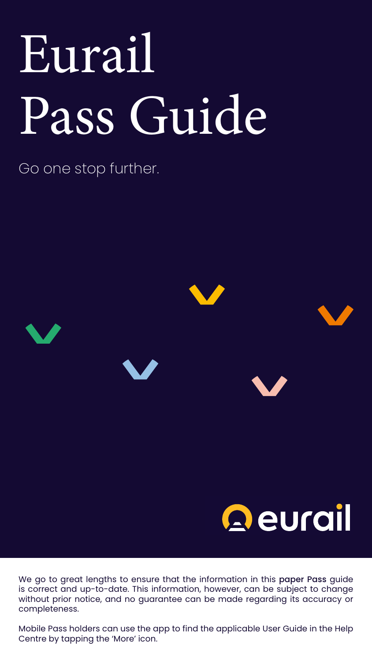Go one stop further.

# Qeurail

# Eurail Pass Guide

We go to great lengths to ensure that the information in this paper Pass guide is correct and up-to-date. This information, however, can be subject to change without prior notice, and no guarantee can be made regarding its accuracy or completeness.

Mobile Pass holders can use the app to find the applicable User Guide in the Help Centre by tapping the 'More' icon.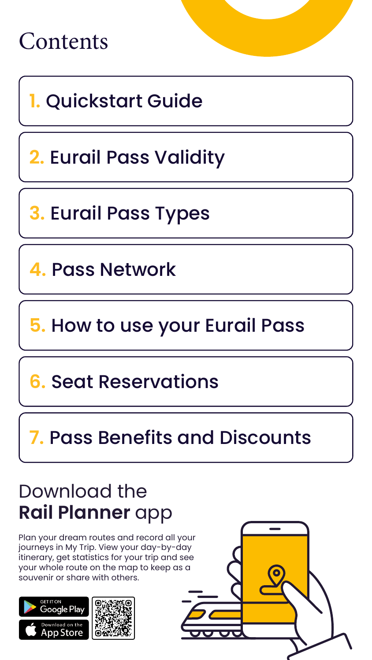



**5.** [How to use your Eurail Pass](#page-6-0)

**2.** [Eurail Pass Validity](#page-3-0)

**3.** [Eurail Pass Types](#page-4-0)

**4.** [Pass Network](#page-5-0)

**6.** [Seat Reservations](#page-14-0)

**7.** [Pass Benefits and Discounts](#page-16-0)

### Download the **Rail Planner** app

Plan your dream routes and record all your journeys in My Trip. View your day-by-day itinerary, get statistics for your trip and see your whole route on the map to keep as a souvenir or share with others.



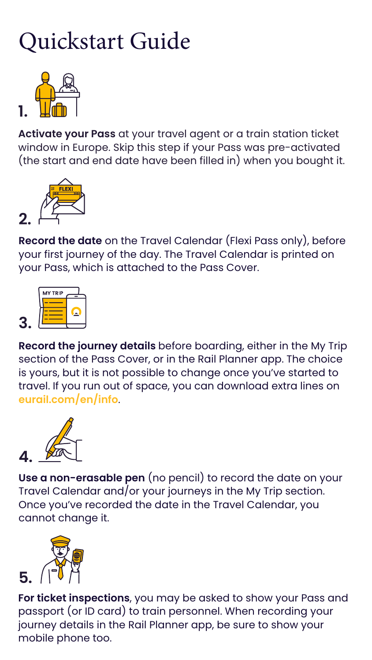# <span id="page-2-0"></span>Quickstart Guide

**Record the journey details** before boarding, either in the My Trip section of the Pass Cover, or in the Rail Planner app. The choice is yours, but it is not possible to change once you've started to travel. If you run out of space, you can download extra lines on **[eurail.com/en/info](https://www.eurail.com/en/info)**.

**For ticket inspections**, you may be asked to show your Pass and passport (or ID card) to train personnel. When recording your journey details in the Rail Planner app, be sure to show your mobile phone too.

**Use a non-erasable pen** (no pencil) to record the date on your Travel Calendar and/or your journeys in the My Trip section. Once you've recorded the date in the Travel Calendar, you cannot change it.

**Record the date** on the Travel Calendar (Flexi Pass only), before your first journey of the day. The Travel Calendar is printed on your Pass, which is attached to the Pass Cover.

**Activate your Pass** at your travel agent or a train station ticket window in Europe. Skip this step if your Pass was pre-activated (the start and end date have been filled in) when you bought it.









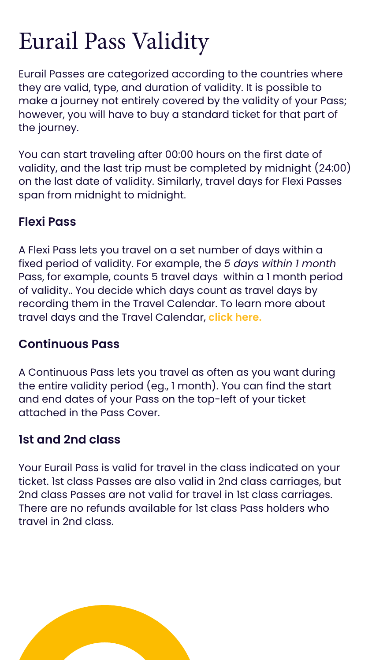# <span id="page-3-0"></span>Eurail Pass Validity

Eurail Passes are categorized according to the countries where they are valid, type, and duration of validity. It is possible to make a journey not entirely covered by the validity of your Pass; however, you will have to buy a standard ticket for that part of the journey.

You can start traveling after 00:00 hours on the first date of validity, and the last trip must be completed by midnight (24:00) on the last date of validity. Similarly, travel days for Flexi Passes span from midnight to midnight.

#### **Flexi Pass**

A Flexi Pass lets you travel on a set number of days within a fixed period of validity. For example, the *5 days within 1 month* Pass, for example, counts 5 travel days within a 1 month period of validity.. You decide which days count as travel days by recording them in the Travel Calendar. To learn more about travel days and the Travel Calendar, **[click here](#page-11-0).** 

#### **Continuous Pass**

A Continuous Pass lets you travel as often as you want during the entire validity period (eg., 1 month). You can find the start and end dates of your Pass on the top-left of your ticket attached in the Pass Cover.

#### **1st and 2nd class**

Your Eurail Pass is valid for travel in the class indicated on your ticket. 1st class Passes are also valid in 2nd class carriages, but 2nd class Passes are not valid for travel in 1st class carriages. There are no refunds available for 1st class Pass holders who travel in 2nd class.

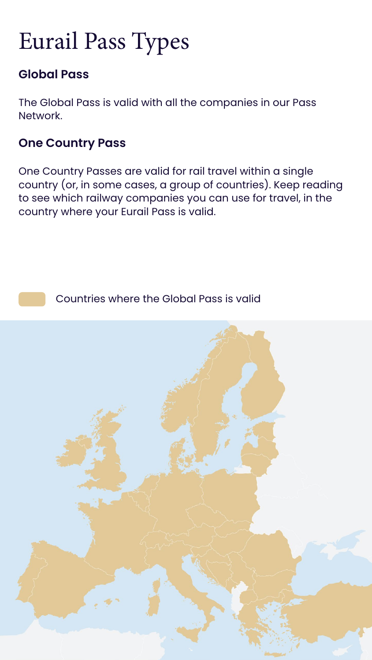# <span id="page-4-0"></span>Eurail Pass Types

#### **Global Pass**

The Global Pass is valid with all the companies in our Pass Network.

#### **One Country Pass**

One Country Passes are valid for rail travel within a single country (or, in some cases, a group of countries). Keep reading to see which railway companies you can use for travel, in the country where your Eurail Pass is valid.

Countries where the Global Pass is valid

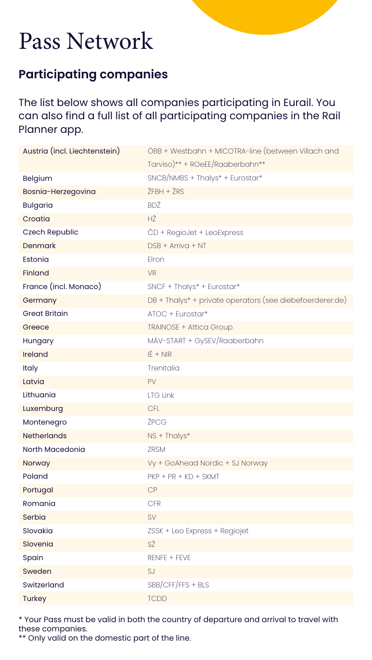| Austria (incl. Liechtenstein) | ÖBB + Westbahn + MICOTRA-line (between Villach and                   |
|-------------------------------|----------------------------------------------------------------------|
|                               | Tarviso) ** + ROeEE/Raaberbahn **                                    |
| <b>Belgium</b>                | $SNCB/NMBS + Thalys* + Eurostar*$                                    |
| Bosnia-Herzegovina            | $ŽFBH + ŽRS$                                                         |
| <b>Bulgaria</b>               | BDŽ                                                                  |
| Croatia                       | HŽ                                                                   |
| <b>Czech Republic</b>         | ČD + RegioJet + LeoExpress                                           |
| <b>Denmark</b>                | $DSB + Arriva + NT$                                                  |
| Estonia                       | Elron                                                                |
| <b>Finland</b>                | <b>VR</b>                                                            |
| France (incl. Monaco)         | $SNCF + Thalys* + Eurostar*$                                         |
| Germany                       | DB + Thalys <sup>*</sup> + private operators (see diebefoerderer.de) |
| <b>Great Britain</b>          | ATOC + Eurostar*                                                     |
| Greece                        | <b>TRAINOSE + Attica Group</b>                                       |
| Hungary                       | MÁV-START + GySEV/Raaberbahn                                         |
| <b>Ireland</b>                | $IÉ + NIR$                                                           |
| <b>Italy</b>                  | Trenitalia                                                           |
| Latvia                        | PV                                                                   |
| Lithuania                     | <b>LTG Link</b>                                                      |
| Luxemburg                     | <b>CFL</b>                                                           |
| Montenegro                    | ŽPCG                                                                 |
| <b>Netherlands</b>            | NS + Thalys*                                                         |
| North Macedonia               | <b>ZRSM</b>                                                          |
| Norway                        | Vy + GoAhead Nordic + SJ Norway                                      |
| Poland                        | $PKP + PR + KD + SKMT$                                               |
| Portugal                      | CP                                                                   |
| Romania                       | <b>CFR</b>                                                           |
| Serbia                        | SV                                                                   |
| Slovakia                      | ZSSK + Leo Express + Regiojet                                        |
| Slovenia                      | SŽ                                                                   |
| Spain                         | RENFE + FEVE                                                         |
| Sweden                        | SJ                                                                   |
|                               |                                                                      |
| Switzerland                   | $SBB/CFF/FFS + BLS$                                                  |

# <span id="page-5-0"></span>Pass Network

#### **Participating companies**

The list below shows all companies participating in Eurail. You can also find a full list of all participating companies in the Rail Planner app.

\* Your Pass must be valid in both the country of departure and arrival to travel with these companies.

\*\* Only valid on the domestic part of the line.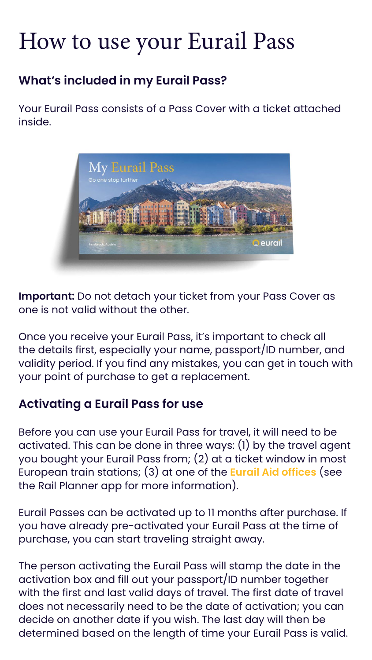# <span id="page-6-0"></span>How to use your Eurail Pass

#### **What's included in my Eurail Pass?**

Your Eurail Pass consists of a Pass Cover with a ticket attached inside.



**Important:** Do not detach your ticket from your Pass Cover as one is not valid without the other.

Once you receive your Eurail Pass, it's important to check all the details first, especially your name, passport/ID number, and validity period. If you find any mistakes, you can get in touch with your point of purchase to get a replacement.

#### **Activating a Eurail Pass for use**

Before you can use your Eurail Pass for travel, it will need to be activated. This can be done in three ways: (1) by the travel agent you bought your Eurail Pass from; (2) at a ticket window in most European train stations; (3) at one of the **[Eurail Aid offices](https://www.eurail.com/en/get-inspired/trains-europe/useful-train-information/eurail-aid-offices)** (see the Rail Planner app for more information).

Eurail Passes can be activated up to 11 months after purchase. If you have already pre-activated your Eurail Pass at the time of purchase, you can start traveling straight away.

The person activating the Eurail Pass will stamp the date in the activation box and fill out your passport/ID number together with the first and last valid days of travel. The first date of travel does not necessarily need to be the date of activation; you can decide on another date if you wish. The last day will then be determined based on the length of time your Eurail Pass is valid.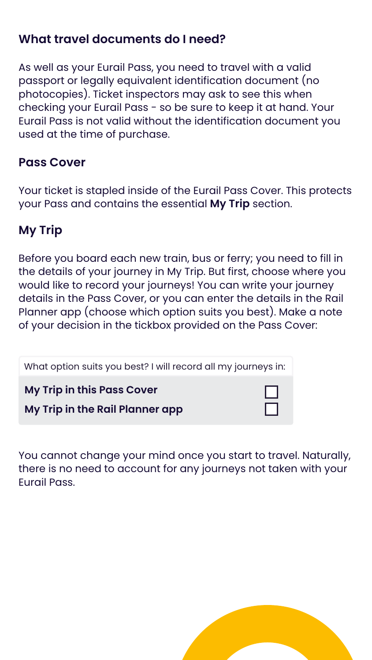#### **What travel documents do I need?**

As well as your Eurail Pass, you need to travel with a valid passport or legally equivalent identification document (no photocopies). Ticket inspectors may ask to see this when checking your Eurail Pass - so be sure to keep it at hand. Your Eurail Pass is not valid without the identification document you used at the time of purchase.

#### **Pass Cover**

Your ticket is stapled inside of the Eurail Pass Cover. This protects your Pass and contains the essential **My Trip** section.

#### **My Trip**

Before you board each new train, bus or ferry; you need to fill in the details of your journey in My Trip. But first, choose where you would like to record your journeys! You can write your journey details in the Pass Cover, or you can enter the details in the Rail Planner app (choose which option suits you best). Make a note of your decision in the tickbox provided on the Pass Cover:

You cannot change your mind once you start to travel. Naturally,

#### there is no need to account for any journeys not taken with your Eurail Pass.



| What option suits you best? I will record all my journeys in:        |  |
|----------------------------------------------------------------------|--|
| <b>My Trip in this Pass Cover</b><br>My Trip in the Rail Planner app |  |
|                                                                      |  |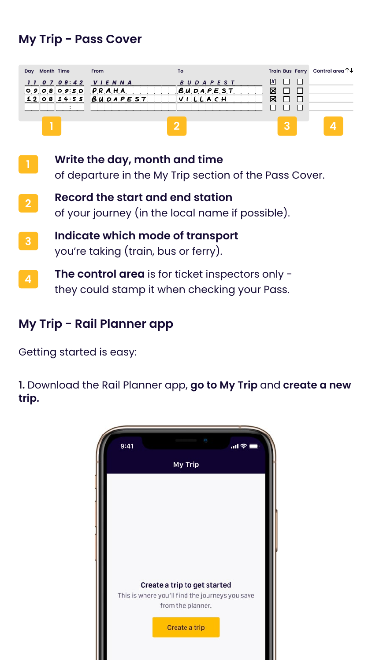#### **My Trip - Pass Cover**

#### **My Trip - Rail Planner app**

Getting started is easy:

**1.** Download the Rail Planner app, **go to My Trip** and **create a new trip.**



#### Create a trip to get started

This is where you'll find the journeys you save from the planner.

Create a trip

| Day Month Time                                                | <b>Erom</b> | То                                      |        | Train Bus Ferry Control area $\uparrow\downarrow$ |
|---------------------------------------------------------------|-------------|-----------------------------------------|--------|---------------------------------------------------|
| 110709:42 VIENNA<br>$O9O8O950$ $PRAHA$<br>$12081455$ BUDAPEST |             | <b>BUDAPEST</b><br>BUDAPEST<br>VILLLACH | 冈<br>⊠ |                                                   |
|                                                               |             |                                         |        |                                                   |

- **Write the day, month and time**  of departure in the My Trip section of the Pass Cover. **1**
- **Record the start and end station** of your journey (in the local name if possible). **2**
- **Indicate which mode of transport**  you're taking (train, bus or ferry). **3**
- **The control area** is for ticket inspectors only they could stamp it when checking your Pass. **4**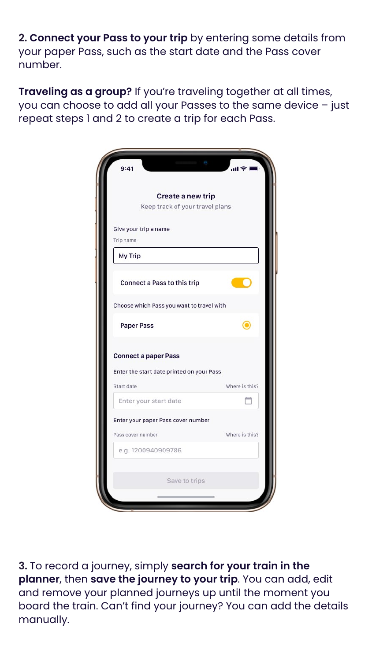**2. Connect your Pass to your trip** by entering some details from your paper Pass, such as the start date and the Pass cover number.

**Traveling as a group?** If you're traveling together at all times, you can choose to add all your Passes to the same device – just repeat steps 1 and 2 to create a trip for each Pass.

| Create a new trip                         |                |
|-------------------------------------------|----------------|
| Keep track of your travel plans           |                |
| Give your trip a name                     |                |
| Trip name                                 |                |
| My Trip                                   |                |
| Connect a Pass to this trip               |                |
| Choose which Pass you want to travel with |                |
| <b>Paper Pass</b>                         |                |
| <b>Connect a paper Pass</b>               |                |
| Enter the start date printed on your Pass |                |
| Start date                                | Where is this? |
| Enter your start date                     |                |
| Enter your paper Pass cover number        |                |
|                                           | Where is this? |



**3.** To record a journey, simply **search for your train in the planner**, then **save the journey to your trip**. You can add, edit and remove your planned journeys up until the moment you board the train. Can't find your journey? You can add the details manually.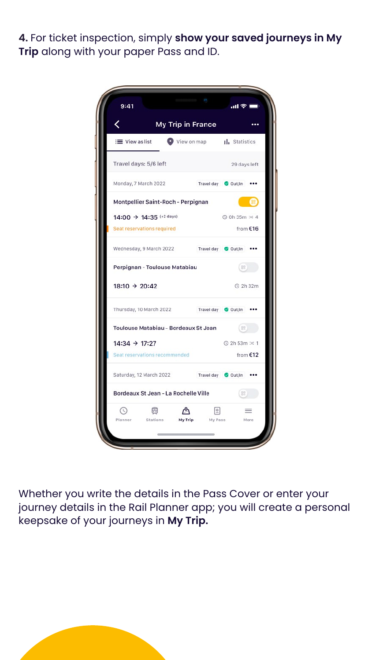**4.** For ticket inspection, simply **show your saved journeys in My Trip** along with your paper Pass and ID.

| 9:41                                 |         |         | "■ シ Ⅲ"                    |          |
|--------------------------------------|---------|---------|----------------------------|----------|
| My Trip in France                    |         |         |                            |          |
| $\equiv$ View as list                |         |         | View on map   statistics   |          |
| Travel days: 5/6 left                |         |         | 29 days left               |          |
| Monday, 7 March 2022                 |         |         | Travel day @ Out/In        |          |
| Montpellier Saint-Roch - Perpignan   |         |         |                            |          |
| $14:00 \rightarrow 14:35$ (+2 days)  |         |         | <b>◎ 0h 35m &gt;&lt; 4</b> |          |
| Seat reservations required           |         |         | from $€16$                 |          |
| Wednesday, 9 March 2022              |         |         | Travel day Out/In          |          |
| Perpignan - Toulouse Matabiau        |         |         |                            |          |
| $18:10 \rightarrow 20:42$            |         |         | <b>4</b> 2h 32m            |          |
| Thursday, 10 March 2022              |         |         | Travel day @ Out/In        |          |
| Toulouse Matabiau - Bordeaux St Jean |         |         | 82                         |          |
| $14:34 \rightarrow 17:27$            |         |         | <b>① 2h 53m × 1</b>        |          |
| Seat reservations recommended        |         |         |                            | from €12 |
| Saturday, 12 March 2022              |         |         | Travel day @ Out/In        |          |
| Bordeaux St Jean - La Rochelle Ville |         |         | 88                         |          |
|                                      |         | O       |                            |          |
| Stations<br>Planner                  | My Trip | My Pass |                            | More     |

Whether you write the details in the Pass Cover or enter your journey details in the Rail Planner app; you will create a personal keepsake of your journeys in **My Trip.**

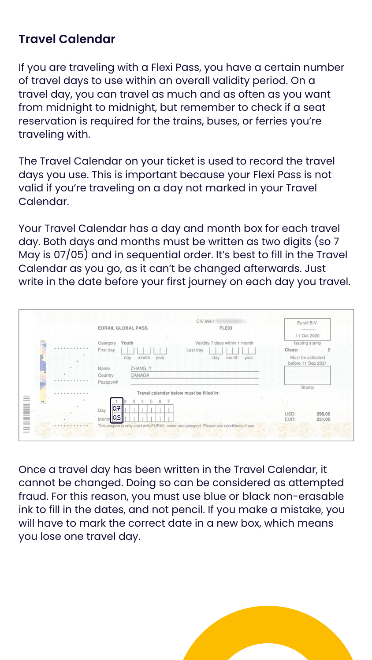#### <span id="page-11-0"></span>**Travel Calendar**

If you are traveling with a Flexi Pass, you have a certain number of travel days to use within an overall validity period. On a travel day, you can travel as much and as often as you want from midnight to midnight, but remember to check if a seat reservation is required for the trains, buses, or ferries you're traveling with.

The Travel Calendar on your ticket is used to record the travel days you use. This is important because your Flexi Pass is not valid if you're traveling on a day not marked in your Travel Calendar.

Your Travel Calendar has a day and month box for each travel day. Both days and months must be written as two digits (so 7 May is 07/05) and in sequential order. It's best to fill in the Travel Calendar as you go, as it can't be changed afterwards. Just write in the date before your first journey on each day you travel.

|                  | <b>CIV 9901</b><br><b>EURAIL GLOBAL PASS</b><br><b>FLEXI</b>                                                                                                          | Eurail B.V.                                                             |
|------------------|-----------------------------------------------------------------------------------------------------------------------------------------------------------------------|-------------------------------------------------------------------------|
|                  |                                                                                                                                                                       | **********<br>11 Oct 2020                                               |
| $\sim$<br>.<br>. | Youth<br>Validity 7 days within 1 month<br>Category<br>First day<br>Last day<br>month<br>month<br>day<br>day<br>year<br>year<br>ZHANG, Y<br>Name<br>CANADA<br>Country | Issuing stamp<br>Class:<br>2<br>Must be activated<br>before 11 Sep 2021 |
|                  | Passport#                                                                                                                                                             | Stamp                                                                   |
| .                | Travel calendar below must be filled in:                                                                                                                              |                                                                         |
| $\nabla$         | 3<br>6<br>5<br> O7 <br>Day<br> 05<br>Month                                                                                                                            | USD:<br>296,00<br>EUR:<br>251,00                                        |

Once a travel day has been written in the Travel Calendar, it cannot be changed. Doing so can be considered as attempted fraud. For this reason, you must use blue or black non-erasable ink to fill in the dates, and not pencil. If you make a mistake, you will have to mark the correct date in a new box, which means you lose one travel day.

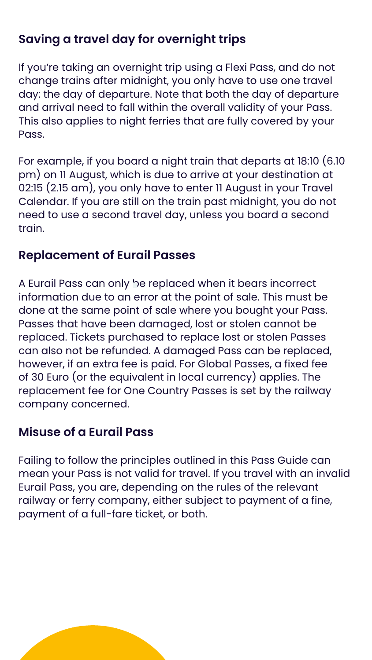#### **Saving a travel day for overnight trips**

If you're taking an overnight trip using a Flexi Pass, and do not change trains after midnight, you only have to use one travel day: the day of departure. Note that both the day of departure and arrival need to fall within the overall validity of your Pass. This also applies to night ferries that are fully covered by your Pass.

For example, if you board a night train that departs at 18:10 (6.10 pm) on 11 August, which is due to arrive at your destination at 02:15 (2.15 am), you only have to enter 11 August in your Travel Calendar. If you are still on the train past midnight, you do not need to use a second travel day, unless you board a second train.

#### **Replacement of Eurail Passes**

A Eurail Pass can only be replaced when it bears incorrect information due to an error at the point of sale. This must be done at the same point of sale where you bought your Pass. Passes that have been damaged, lost or stolen cannot be replaced. Tickets purchased to replace lost or stolen Passes can also not be refunded. A damaged Pass can be replaced, however, if an extra fee is paid. For Global Passes, a fixed fee of 30 Euro (or the equivalent in local currency) applies. The replacement fee for One Country Passes is set by the railway company concerned.

#### **Misuse of a Eurail Pass**

Failing to follow the principles outlined in this Pass Guide can mean your Pass is not valid for travel. If you travel with an invalid Eurail Pass, you are, depending on the rules of the relevant railway or ferry company, either subject to payment of a fine, payment of a full-fare ticket, or both.

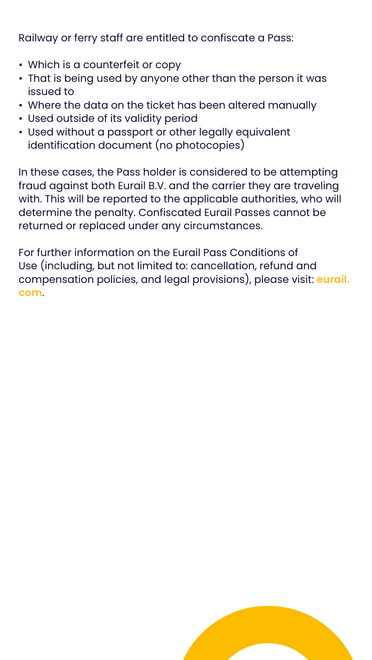Railway or ferry staff are entitled to confiscate a Pass:

- Which is a counterfeit or copy
- That is being used by anyone other than the person it was issued to
- Where the data on the ticket has been altered manually
- Used outside of its validity period
- Used without a passport or other legally equivalent identification document (no photocopies)

In these cases, the Pass holder is considered to be attempting fraud against both Eurail B.V. and the carrier they are traveling with. This will be reported to the applicable authorities, who will determine the penalty. Confiscated Eurail Passes cannot be returned or replaced under any circumstances.

For further information on the Eurail Pass Conditions of Use (including, but not limited to: cancellation, refund and compensation policies, and legal provisions), please visit: **[eurail.](https://www.eurail.com/en/terms-conditions/eurail-pass-conditions-of-use) com**.

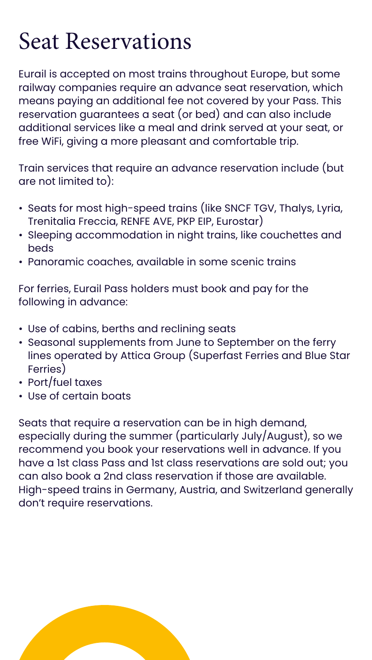# <span id="page-14-0"></span>Seat Reservations

Eurail is accepted on most trains throughout Europe, but some railway companies require an advance seat reservation, which means paying an additional fee not covered by your Pass. This reservation guarantees a seat (or bed) and can also include additional services like a meal and drink served at your seat, or free WiFi, giving a more pleasant and comfortable trip.

Train services that require an advance reservation include (but are not limited to):

- Seats for most high-speed trains (like SNCF TGV, Thalys, Lyria, Trenitalia Freccia, RENFE AVE, PKP EIP, Eurostar)
- Sleeping accommodation in night trains, like couchettes and beds
- Panoramic coaches, available in some scenic trains

For ferries, Eurail Pass holders must book and pay for the following in advance:

- Use of cabins, berths and reclining seats
- Seasonal supplements from June to September on the ferry lines operated by Attica Group (Superfast Ferries and Blue Star Ferries)
- Port/fuel taxes
- Use of certain boats

Seats that require a reservation can be in high demand, especially during the summer (particularly July/August), so we recommend you book your reservations well in advance. If you have a 1st class Pass and 1st class reservations are sold out; you can also book a 2nd class reservation if those are available. High-speed trains in Germany, Austria, and Switzerland generally don't require reservations.

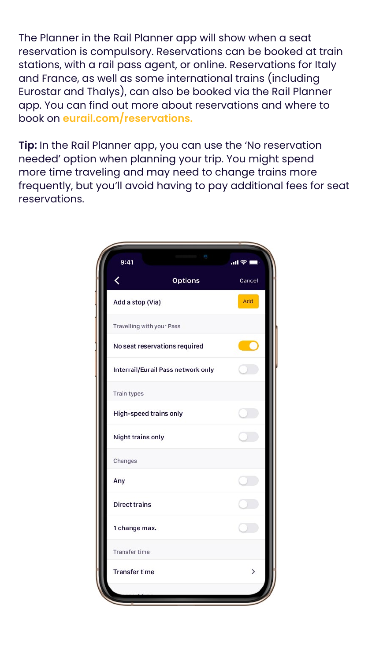The Planner in the Rail Planner app will show when a seat reservation is compulsory. Reservations can be booked at train stations, with a rail pass agent, or online. Reservations for Italy and France, as well as some international trains (including Eurostar and Thalys), can also be booked via the Rail Planner app. You can find out more about reservations and where to book on **[eurail.com/reservations.](https://eurail.com/reservations)** 

**Tip:** In the Rail Planner app, you can use the 'No reservation needed' option when planning your trip. You might spend more time traveling and may need to change trains more frequently, but you'll avoid having to pay additional fees for seat reservations.



| Any                  |  |
|----------------------|--|
| <b>Direct trains</b> |  |
| 1 change max.        |  |
| <b>Transfer time</b> |  |
| <b>Transfer time</b> |  |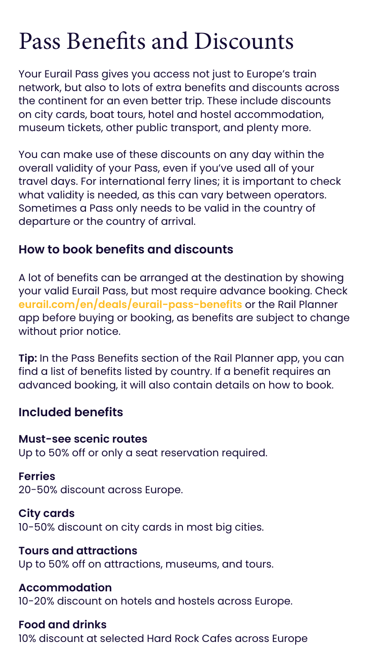# <span id="page-16-0"></span>Pass Benefits and Discounts

Your Eurail Pass gives you access not just to Europe's train network, but also to lots of extra benefits and discounts across the continent for an even better trip. These include discounts on city cards, boat tours, hotel and hostel accommodation, museum tickets, other public transport, and plenty more.

You can make use of these discounts on any day within the overall validity of your Pass, even if you've used all of your travel days. For international ferry lines; it is important to check what validity is needed, as this can vary between operators. Sometimes a Pass only needs to be valid in the country of departure or the country of arrival.

#### **How to book benefits and discounts**

A lot of benefits can be arranged at the destination by showing your valid Eurail Pass, but most require advance booking. Check **[eurail.com/en/deals/eurail-pass-benefits](https://www.eurail.com/en/deals/eurail-pass-benefits)** or the Rail Planner app before buying or booking, as benefits are subject to change without prior notice.

**Tip:** In the Pass Benefits section of the Rail Planner app, you can find a list of benefits listed by country. If a benefit requires an advanced booking, it will also contain details on how to book.

#### **Included benefits**

#### **Must-see scenic routes**

Up to 50% off or only a seat reservation required.

#### **Ferries**

20-50% discount across Europe.

#### **City cards**

10-50% discount on city cards in most big cities.

#### **Tours and attractions**

Up to 50% off on attractions, museums, and tours.

#### **Accommodation**

10-20% discount on hotels and hostels across Europe.

#### **Food and drinks**

10% discount at selected Hard Rock Cafes across Europe